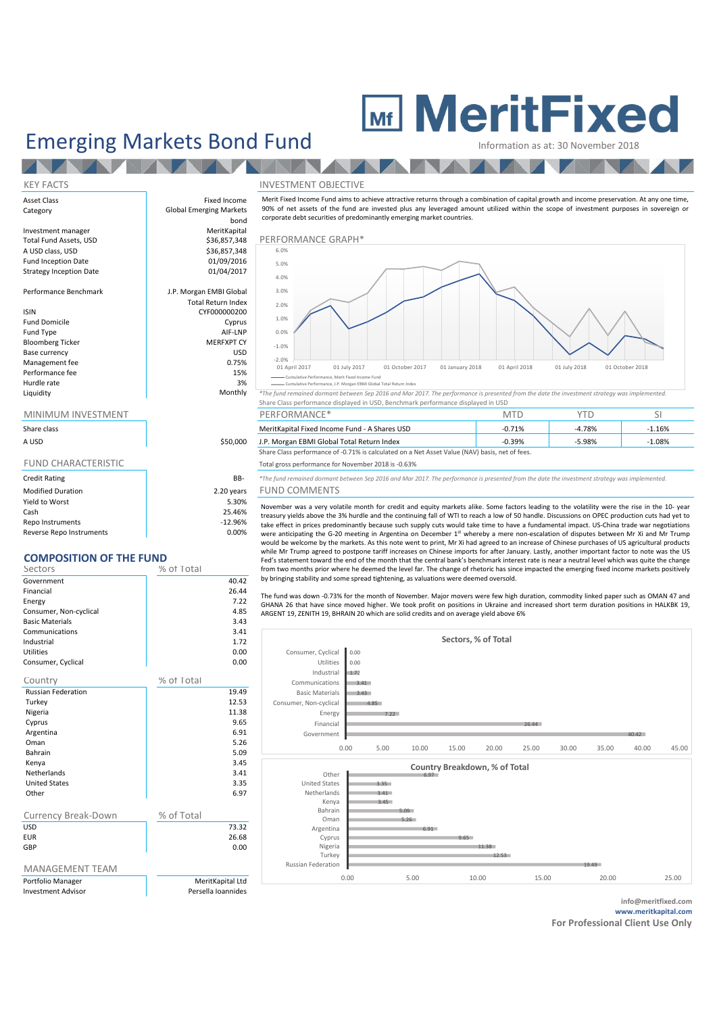## **MeritFixed**

## Emerging Markets Bond Fund<br>
Information as at: 30 November

V

**A** 

#### KEY FACTS INVESTMENT OBJECTIVE Asset Class **Fixed Income** Category **Category Global Emerging Markets** bond<br>MeritKapital Investment manager and a merit MeritKapital<br>
Total Fund Assets, USD and Assets and Assets and Assets and Assets and Assets and Assets and Assets and Asset<br>
The MeritKapital Assets and Assets and Assets and Assets and Asset  $$36,857,348$  PERFORMANCE GRAPH\*<br> $$36,857,348$   $$^{6.0\%}$ A USD class, USD Fund Inception Date 01/09/2016<br>Strategy Inception Date 01/04/2017 Strategy Inception Date Performance Benchmark J.P. Morgan EMBI Global Total Return Index ISIN CYF000000200 Fund Domicile Cyprus Fund Type AIF-LNP Bloomberg Ticker MERFXPT CY<br>
Rase currency MERFXPT CY Base currency and the currency of the USD Management fee and the USD Management fee and the USD Management of the USD Management of the USD Management of the USD Management of the USD Management of the USD Management of th Management fee Performance fee 15% Hurdle rate and 3% and 3% and 3% and 3% and 3% and 3% and 3% and 3% and 3% and 3% and 3% and 3% and 3% and 3% and 3% and 3% and 3% and 3% and 3% and 3% and 3% and 3% and 3% and 3% and 3% and 3% and 3% and 3% and 3% and 3% Share Class performance displayed in USD, Benchmark performance displayed in USD MINIMUM INVESTMENT THE RESERVE OF PERFORMANCE\* THE PERFORMANCE OF THE SILL SEE AND MTD corporate debt securities of predominantly emerging market countries.  $-2.0\%$   $-2.0\%$ -1.0% 0.0% 1.0% 2.0% 3.0% 4.0% 5.0% 6.0% Cumulative Performance, Merit Fixed Income Fund Cumulative Performance, J.P. Morgan EBMI Global Total Return Index

| Share class                |            |
|----------------------------|------------|
| A USD                      | \$50,000   |
| <b>FUND CHARACTERISTIC</b> |            |
| <b>Credit Rating</b>       | BB-        |
| <b>Modified Duration</b>   | 2.20 years |
| Yield to Worst             | 5.30%      |
| Cash                       | 25.46%     |

Repo Instruments and the contract of the contract of the contract of the contract of the contract of the contract of the contract of the contract of the contract of the contract of the contract of the contract of the contr Reverse Repo Instruments and the control of the control of the control of the control of the control of the control of the control of the control of the control of the control of the control of the control of the control o

| Sectors                | % of Total |       |
|------------------------|------------|-------|
| Government             |            | 40.42 |
| Financial              |            | 26.44 |
| Energy                 |            | 7.22  |
| Consumer, Non-cyclical |            | 4.85  |
| <b>Basic Materials</b> |            | 3.43  |
| Communications         |            | 3.41  |
| Industrial             |            | 1.72  |
| <b>Utilities</b>       |            | 0.00  |
| Consumer, Cyclical     |            | 0.00  |
|                        |            |       |

| Country                    | % of Total         |
|----------------------------|--------------------|
| <b>Russian Federation</b>  | 19.49              |
| Turkey                     | 12.53              |
| Nigeria                    | 11.38              |
| Cyprus                     | 9.65               |
| Argentina                  | 6.91               |
| Oman                       | 5.26               |
| <b>Bahrain</b>             | 5.09               |
| Kenya                      | 3.45               |
| Netherlands                | 3.41               |
| <b>United States</b>       | 3.35               |
| Other                      | 6.97               |
|                            |                    |
| <b>Currency Break-Down</b> | % of Total         |
| <b>USD</b>                 | 73.32              |
| <b>FUR</b>                 | 26.68              |
| GBP                        | 0.00               |
|                            |                    |
| <b>MANAGEMENT TEAM</b>     |                    |
| Portfolio Manager          | MeritKapital Ltd   |
| <b>Investment Advisor</b>  | Persella Ioannides |
|                            |                    |

Merit Fixed Income Fund aims to achieve attractive returns through a combination of capital growth and income preservation. At any one time, 90% of net assets of the fund are invested plus any leveraged amount utilized within the scope of investment purposes in sovereign or



NeritKapital Fixed Income Fund - A Shares USD -0.71% -0.71% -4.78% -1.16% A USD 5.98% - 1.P. Morgan EBMI Global Total Return Index -0.39% -0.39% -5.98% -1.08% Share Class performance of -0.71% is calculated on a Net Asset Value (NAV) basis, net of fees.

#### Total gross performance for November 2018 is -0.63%

B- \*The fund remained dormant between Sep 2016 and Mar 2017. The performance is presented from the date the investment strategy was implemented. ars FUND COMMENTS

November was a very volatile month for credit and equity markets alike. Some factors leading to the volatility were the rise in the 10- year treasury yields above the 3% hurdle and the continuing fall of WTI to reach a low of 50 handle. Discussions on OPEC production cuts had yet to take effect in prices predominantly because such supply cuts would take time to have a fundamental impact. US-China trade war negotiations were anticipating the G-20 meeting in Argentina on December 1st whereby a mere non-escalation of disputes between Mr Xi and Mr Trump would be welcome by the markets. As this note went to print, Mr Xi had agreed to an increase of Chinese purchases of US agricultural products while Mr Trump agreed to postpone tariff increases on Chinese imports for after January. Lastly, another important factor to note was the US Fed's statement toward the end of the month that the central bank's benchmark interest rate is near a neutral level which was quite the change from two months prior where he deemed the level far. The change of rhetoric has since impacted the emerging fixed income markets positively by bringing stability and some spread tightening, as valuations were deemed oversold.

The fund was down -0.73% for the month of November. Major movers were few high duration, commodity linked paper such as OMAN 47 and GHANA 26 that have since moved higher. We took profit on positions in Ukraine and increased short term duration positions in HALKBK 19, ARGENT 19, ZENITH 19, BHRAIN 20 which are solid credits and on average yield above 6%